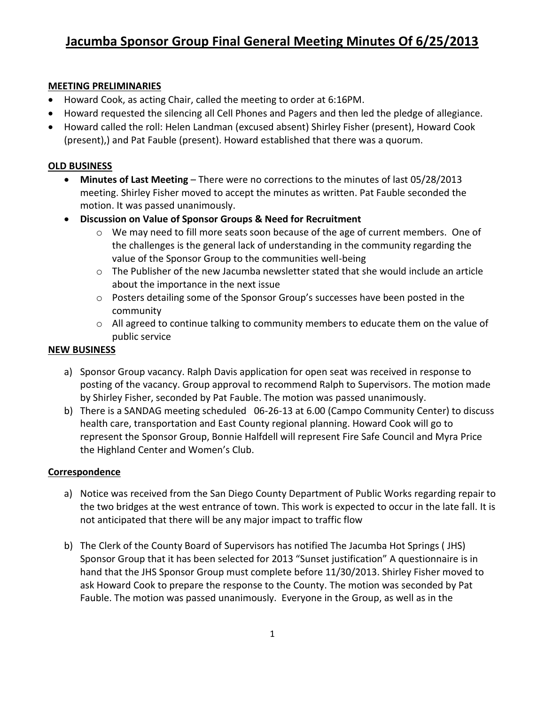### **MEETING PRELIMINARIES**

- Howard Cook, as acting Chair, called the meeting to order at 6:16PM.
- Howard requested the silencing all Cell Phones and Pagers and then led the pledge of allegiance.
- Howard called the roll: Helen Landman (excused absent) Shirley Fisher (present), Howard Cook (present),) and Pat Fauble (present). Howard established that there was a quorum.

## **OLD BUSINESS**

- **Minutes of Last Meeting** There were no corrections to the minutes of last 05/28/2013 meeting. Shirley Fisher moved to accept the minutes as written. Pat Fauble seconded the motion. It was passed unanimously.
- **Discussion on Value of Sponsor Groups & Need for Recruitment**
	- $\circ$  We may need to fill more seats soon because of the age of current members. One of the challenges is the general lack of understanding in the community regarding the value of the Sponsor Group to the communities well-being
	- $\circ$  The Publisher of the new Jacumba newsletter stated that she would include an article about the importance in the next issue
	- o Posters detailing some of the Sponsor Group's successes have been posted in the community
	- $\circ$  All agreed to continue talking to community members to educate them on the value of public service

### **NEW BUSINESS**

- a) Sponsor Group vacancy. Ralph Davis application for open seat was received in response to posting of the vacancy. Group approval to recommend Ralph to Supervisors. The motion made by Shirley Fisher, seconded by Pat Fauble. The motion was passed unanimously.
- b) There is a SANDAG meeting scheduled 06-26-13 at 6.00 (Campo Community Center) to discuss health care, transportation and East County regional planning. Howard Cook will go to represent the Sponsor Group, Bonnie Halfdell will represent Fire Safe Council and Myra Price the Highland Center and Women's Club.

### **Correspondence**

- a) Notice was received from the San Diego County Department of Public Works regarding repair to the two bridges at the west entrance of town. This work is expected to occur in the late fall. It is not anticipated that there will be any major impact to traffic flow
- b) The Clerk of the County Board of Supervisors has notified The Jacumba Hot Springs ( JHS) Sponsor Group that it has been selected for 2013 "Sunset justification" A questionnaire is in hand that the JHS Sponsor Group must complete before 11/30/2013. Shirley Fisher moved to ask Howard Cook to prepare the response to the County. The motion was seconded by Pat Fauble. The motion was passed unanimously. Everyone in the Group, as well as in the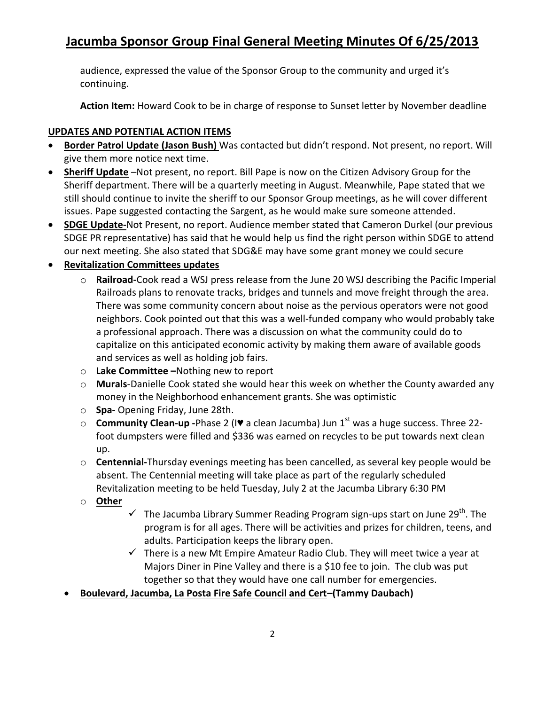# **Jacumba Sponsor Group Final General Meeting Minutes Of 6/25/2013**

audience, expressed the value of the Sponsor Group to the community and urged it's continuing.

**Action Item:** Howard Cook to be in charge of response to Sunset letter by November deadline

## **UPDATES AND POTENTIAL ACTION ITEMS**

- **Border Patrol Update (Jason Bush)** Was contacted but didn't respond. Not present, no report. Will give them more notice next time.
- **Sheriff Update** –Not present, no report. Bill Pape is now on the Citizen Advisory Group for the Sheriff department. There will be a quarterly meeting in August. Meanwhile, Pape stated that we still should continue to invite the sheriff to our Sponsor Group meetings, as he will cover different issues. Pape suggested contacting the Sargent, as he would make sure someone attended.
- **SDGE Update-**Not Present, no report. Audience member stated that Cameron Durkel (our previous SDGE PR representative) has said that he would help us find the right person within SDGE to attend our next meeting. She also stated that SDG&E may have some grant money we could secure

## **Revitalization Committees updates**

- o **Railroad-**Cook read a WSJ press release from the June 20 WSJ describing the Pacific Imperial Railroads plans to renovate tracks, bridges and tunnels and move freight through the area. There was some community concern about noise as the pervious operators were not good neighbors. Cook pointed out that this was a well-funded company who would probably take a professional approach. There was a discussion on what the community could do to capitalize on this anticipated economic activity by making them aware of available goods and services as well as holding job fairs.
- o **Lake Committee –**Nothing new to report
- o **Murals**-Danielle Cook stated she would hear this week on whether the County awarded any money in the Neighborhood enhancement grants. She was optimistic
- o **Spa-** Opening Friday, June 28th.
- o **Community Clean-up -**Phase 2 (I♥ a clean Jacumba) Jun 1st was a huge success. Three 22 foot dumpsters were filled and \$336 was earned on recycles to be put towards next clean up.
- o **Centennial-**Thursday evenings meeting has been cancelled, as several key people would be absent. The Centennial meeting will take place as part of the regularly scheduled Revitalization meeting to be held Tuesday, July 2 at the Jacumba Library 6:30 PM
- o **Other**
	- $\checkmark$  The Jacumba Library Summer Reading Program sign-ups start on June 29<sup>th</sup>. The program is for all ages. There will be activities and prizes for children, teens, and adults. Participation keeps the library open.
	- $\checkmark$  There is a new Mt Empire Amateur Radio Club. They will meet twice a year at Majors Diner in Pine Valley and there is a \$10 fee to join. The club was put together so that they would have one call number for emergencies.
- **Boulevard, Jacumba, La Posta Fire Safe Council and Cert–(Tammy Daubach)**